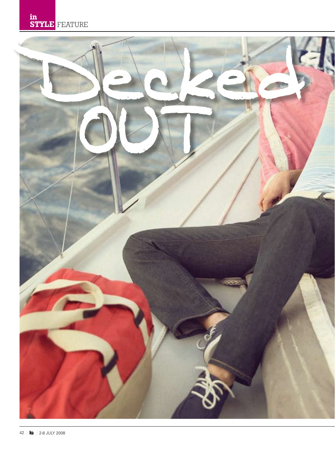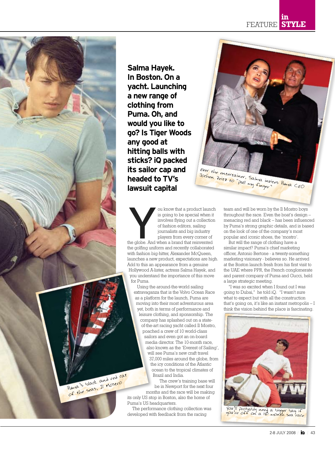FEATURE **in STYLE**



Puma's black and red cat of the seas, Il Mostro

**Salma Hayek. In Boston. On a yacht. Launching a new range of clothing from Puma. Oh, and would you like to go? Is Tiger Woods any good at hitting balls with sticks? iQ packed its sailor cap and headed to TV's lawsuit capital**

ou know that a product launch<br>
is going to be special when it<br>
involves flying out a collection<br>
of fashion editors, sailing<br>
journalists and big industry<br>
players from every corner of<br>
the globe. And when a brand that rei is going to be special when it involves flying out a collection of fashion editors, sailing journalists and big industry players from every corner of

the golfing uniform and recently collaborated with fashion big-hitter, Alexander McQueen, launches a new product, expectations are high. Add to this an appearance from a genuine Hollywood A-lister, actress Salma Hayek, and you understand the importance of this move for Puma.

Using the around-the-world sailing extravaganza that is the Volvo Ocean Race as a platform for the launch, Puma are moving into their most adventurous area yet, both in terms of performance and leisure clothing, and sponsorship. The company has splashed out on a stateof-the-art racing yacht called Il Mostro, poached a crew of 10 world-class sailors and even got an on-board media director. The 10-month race, also known as the 'Everest of Sailing', will see Puma's new craft travel 37,000 miles around the globe, from the icy conditions of the Atlantic ocean to the tropical climates of Brazil and India.

The crew's training base will be in Newport for the next four months and the race will be making its only US stop in Boston, also the home of Puma's US headquarters.

The performance clothing collection was developed with feedback from the racing

Ever the entertainer, Salma invites Puma<br>Jochen Zeitz to "Pull my finger"<br>LEO

team and will be worn by the Il Mostro boys throughout the race. Even the boat's design – menacing red and black – has been influenced by Puma's strong graphic details, and is based on the look of one of the company's most popular and iconic shoes, the 'mostro'.

But will the range of clothing have a similar impact? Puma's chief marketing officer, Antonio Bertone - a twenty-something marketing visionary - believes so. He arrived at the Boston launch fresh from his first visit to the UAE where PPR, the French conglomerate and parent company of Puma and Gucci, held a large strategic meeting.

"I was so excited when I found out I was going to Dubai," he told iQ. "I wasn't sure what to expect but with all the construction that's going on, it's like an instant metropolis – I think the vision behind the place is fascinating.